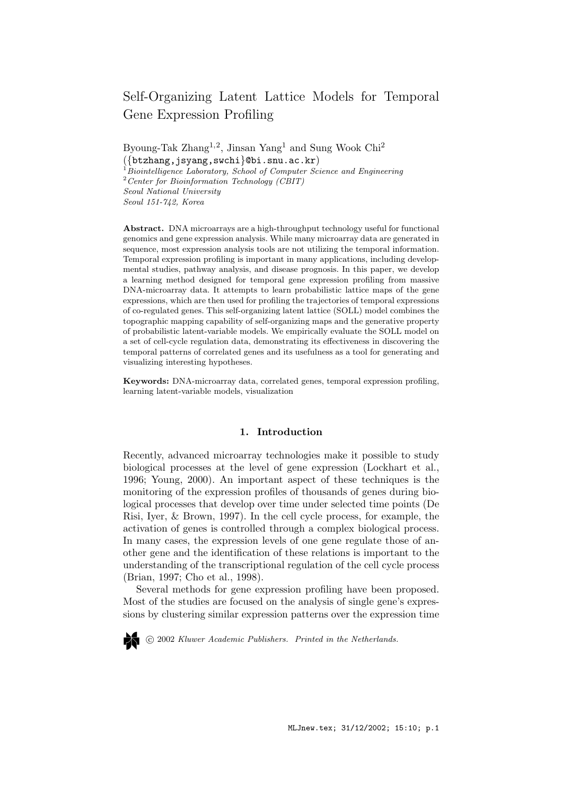# Self-Organizing Latent Lattice Models for Temporal Gene Expression Profiling

Byoung-Tak Zhang<sup>1,2</sup>, Jinsan Yang<sup>1</sup> and Sung Wook Chi<sup>2</sup>  $({\text{btzhang},jsyang,swchi}$ <sup>1</sup>Biointelligence Laboratory, School of Computer Science and Engineering

 $2$  Center for Bioinformation Technology (CBIT) Seoul National University Seoul 151-742, Korea

**Abstract.** DNA microarrays are a high-throughput technology useful for functional genomics and gene expression analysis. While many microarray data are generated in sequence, most expression analysis tools are not utilizing the temporal information. Temporal expression profiling is important in many applications, including developmental studies, pathway analysis, and disease prognosis. In this paper, we develop a learning method designed for temporal gene expression profiling from massive DNA-microarray data. It attempts to learn probabilistic lattice maps of the gene expressions, which are then used for profiling the trajectories of temporal expressions of co-regulated genes. This self-organizing latent lattice (SOLL) model combines the topographic mapping capability of self-organizing maps and the generative property of probabilistic latent-variable models. We empirically evaluate the SOLL model on a set of cell-cycle regulation data, demonstrating its effectiveness in discovering the temporal patterns of correlated genes and its usefulness as a tool for generating and visualizing interesting hypotheses.

**Keywords:** DNA-microarray data, correlated genes, temporal expression profiling, learning latent-variable models, visualization

# **1. Introduction**

Recently, advanced microarray technologies make it possible to study biological processes at the level of gene expression (Lockhart et al., 1996; Young, 2000). An important aspect of these techniques is the monitoring of the expression profiles of thousands of genes during biological processes that develop over time under selected time points (De Risi, Iyer, & Brown, 1997). In the cell cycle process, for example, the activation of genes is controlled through a complex biological process. In many cases, the expression levels of one gene regulate those of another gene and the identification of these relations is important to the understanding of the transcriptional regulation of the cell cycle process (Brian, 1997; Cho et al., 1998).

Several methods for gene expression profiling have been proposed. Most of the studies are focused on the analysis of single gene's expressions by clustering similar expression patterns over the expression time

c 2002 Kluwer Academic Publishers. Printed in the Netherlands.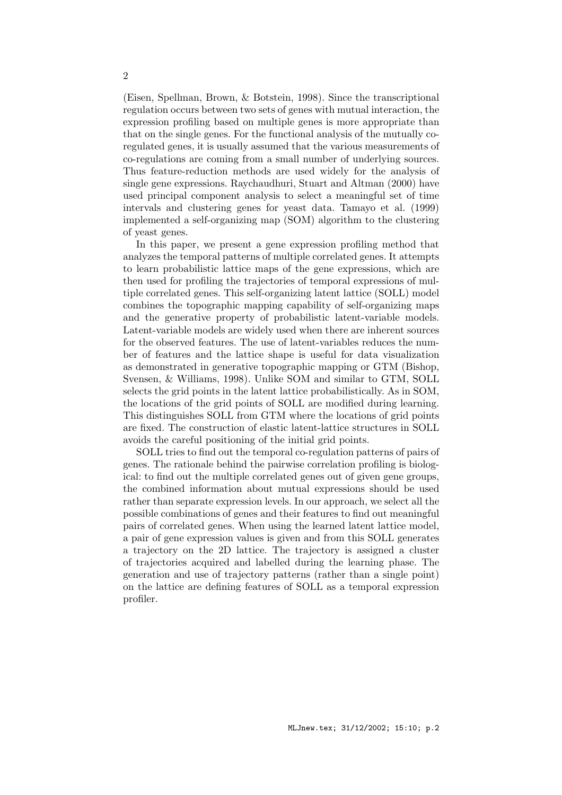(Eisen, Spellman, Brown, & Botstein, 1998). Since the transcriptional regulation occurs between two sets of genes with mutual interaction, the expression profiling based on multiple genes is more appropriate than that on the single genes. For the functional analysis of the mutually coregulated genes, it is usually assumed that the various measurements of co-regulations are coming from a small number of underlying sources. Thus feature-reduction methods are used widely for the analysis of single gene expressions. Raychaudhuri, Stuart and Altman (2000) have used principal component analysis to select a meaningful set of time intervals and clustering genes for yeast data. Tamayo et al. (1999) implemented a self-organizing map (SOM) algorithm to the clustering of yeast genes.

In this paper, we present a gene expression profiling method that analyzes the temporal patterns of multiple correlated genes. It attempts to learn probabilistic lattice maps of the gene expressions, which are then used for profiling the trajectories of temporal expressions of multiple correlated genes. This self-organizing latent lattice (SOLL) model combines the topographic mapping capability of self-organizing maps and the generative property of probabilistic latent-variable models. Latent-variable models are widely used when there are inherent sources for the observed features. The use of latent-variables reduces the number of features and the lattice shape is useful for data visualization as demonstrated in generative topographic mapping or GTM (Bishop, Svensen, & Williams, 1998). Unlike SOM and similar to GTM, SOLL selects the grid points in the latent lattice probabilistically. As in SOM, the locations of the grid points of SOLL are modified during learning. This distinguishes SOLL from GTM where the locations of grid points are fixed. The construction of elastic latent-lattice structures in SOLL avoids the careful positioning of the initial grid points.

SOLL tries to find out the temporal co-regulation patterns of pairs of genes. The rationale behind the pairwise correlation profiling is biological: to find out the multiple correlated genes out of given gene groups, the combined information about mutual expressions should be used rather than separate expression levels. In our approach, we select all the possible combinations of genes and their features to find out meaningful pairs of correlated genes. When using the learned latent lattice model, a pair of gene expression values is given and from this SOLL generates a trajectory on the 2D lattice. The trajectory is assigned a cluster of trajectories acquired and labelled during the learning phase. The generation and use of trajectory patterns (rather than a single point) on the lattice are defining features of SOLL as a temporal expression profiler.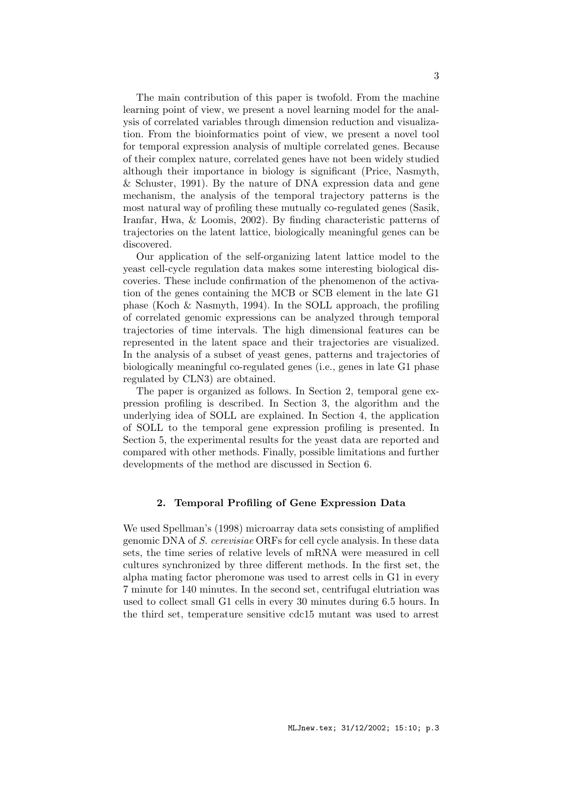The main contribution of this paper is twofold. From the machine learning point of view, we present a novel learning model for the analysis of correlated variables through dimension reduction and visualization. From the bioinformatics point of view, we present a novel tool for temporal expression analysis of multiple correlated genes. Because of their complex nature, correlated genes have not been widely studied although their importance in biology is significant (Price, Nasmyth, & Schuster, 1991). By the nature of DNA expression data and gene mechanism, the analysis of the temporal trajectory patterns is the most natural way of profiling these mutually co-regulated genes (Sasik, Iranfar, Hwa, & Loomis, 2002). By finding characteristic patterns of trajectories on the latent lattice, biologically meaningful genes can be discovered.

Our application of the self-organizing latent lattice model to the yeast cell-cycle regulation data makes some interesting biological discoveries. These include confirmation of the phenomenon of the activation of the genes containing the MCB or SCB element in the late G1 phase (Koch & Nasmyth, 1994). In the SOLL approach, the profiling of correlated genomic expressions can be analyzed through temporal trajectories of time intervals. The high dimensional features can be represented in the latent space and their trajectories are visualized. In the analysis of a subset of yeast genes, patterns and trajectories of biologically meaningful co-regulated genes (i.e., genes in late G1 phase regulated by CLN3) are obtained.

The paper is organized as follows. In Section 2, temporal gene expression profiling is described. In Section 3, the algorithm and the underlying idea of SOLL are explained. In Section 4, the application of SOLL to the temporal gene expression profiling is presented. In Section 5, the experimental results for the yeast data are reported and compared with other methods. Finally, possible limitations and further developments of the method are discussed in Section 6.

# **2. Temporal Profiling of Gene Expression Data**

We used Spellman's (1998) microarray data sets consisting of amplified genomic DNA of *S. cerevisiae* ORFs for cell cycle analysis. In these data sets, the time series of relative levels of mRNA were measured in cell cultures synchronized by three different methods. In the first set, the alpha mating factor pheromone was used to arrest cells in G1 in every 7 minute for 140 minutes. In the second set, centrifugal elutriation was used to collect small G1 cells in every 30 minutes during 6.5 hours. In the third set, temperature sensitive cdc15 mutant was used to arrest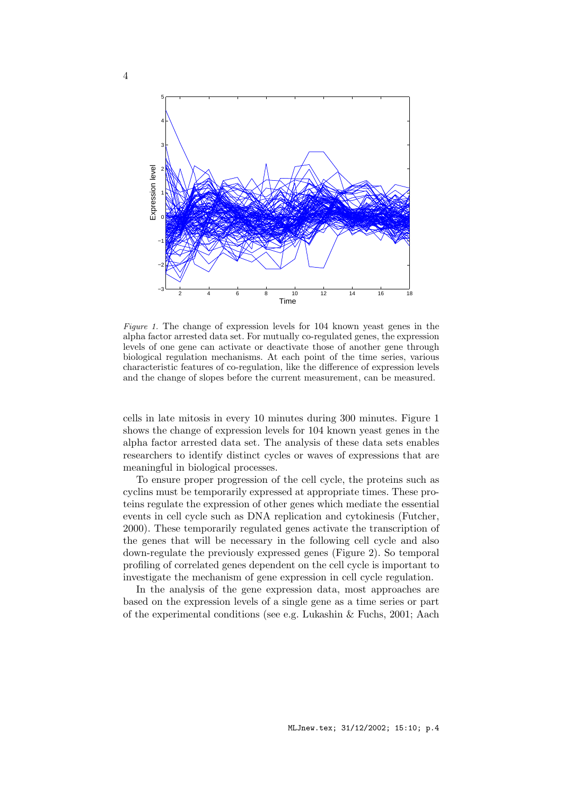

Figure 1. The change of expression levels for 104 known yeast genes in the alpha factor arrested data set. For mutually co-regulated genes, the expression levels of one gene can activate or deactivate those of another gene through biological regulation mechanisms. At each point of the time series, various characteristic features of co-regulation, like the difference of expression levels and the change of slopes before the current measurement, can be measured.

cells in late mitosis in every 10 minutes during 300 minutes. Figure 1 shows the change of expression levels for 104 known yeast genes in the alpha factor arrested data set. The analysis of these data sets enables researchers to identify distinct cycles or waves of expressions that are meaningful in biological processes.

To ensure proper progression of the cell cycle, the proteins such as cyclins must be temporarily expressed at appropriate times. These proteins regulate the expression of other genes which mediate the essential events in cell cycle such as DNA replication and cytokinesis (Futcher, 2000). These temporarily regulated genes activate the transcription of the genes that will be necessary in the following cell cycle and also down-regulate the previously expressed genes (Figure 2). So temporal profiling of correlated genes dependent on the cell cycle is important to investigate the mechanism of gene expression in cell cycle regulation.

In the analysis of the gene expression data, most approaches are based on the expression levels of a single gene as a time series or part of the experimental conditions (see e.g. Lukashin & Fuchs, 2001; Aach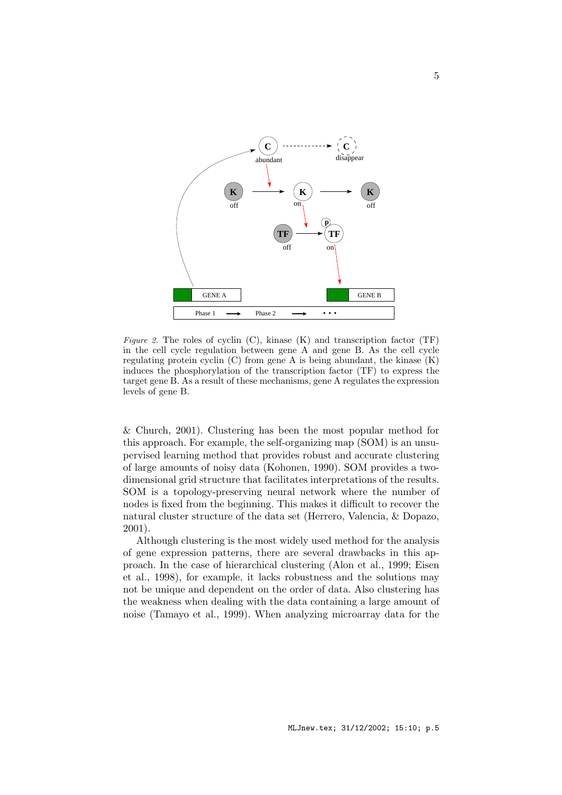

Figure 2. The roles of cyclin  $(C)$ , kinase  $(K)$  and transcription factor  $(TF)$ in the cell cycle regulation between gene A and gene B. As the cell cycle regulating protein cyclin  $(C)$  from gene A is being abundant, the kinase  $(K)$ induces the phosphorylation of the transcription factor (TF) to express the target gene B. As a result of these mechanisms, gene A regulates the expression levels of gene B.

& Church, 2001). Clustering has been the most popular method for this approach. For example, the self-organizing map (SOM) is an unsupervised learning method that provides robust and accurate clustering of large amounts of noisy data (Kohonen, 1990). SOM provides a twodimensional grid structure that facilitates interpretations of the results. SOM is a topology-preserving neural network where the number of nodes is fixed from the beginning. This makes it difficult to recover the natural cluster structure of the data set (Herrero, Valencia, & Dopazo, 2001).

Although clustering is the most widely used method for the analysis of gene expression patterns, there are several drawbacks in this approach. In the case of hierarchical clustering (Alon et al., 1999; Eisen et al., 1998), for example, it lacks robustness and the solutions may not be unique and dependent on the order of data. Also clustering has the weakness when dealing with the data containing a large amount of noise (Tamayo et al., 1999). When analyzing microarray data for the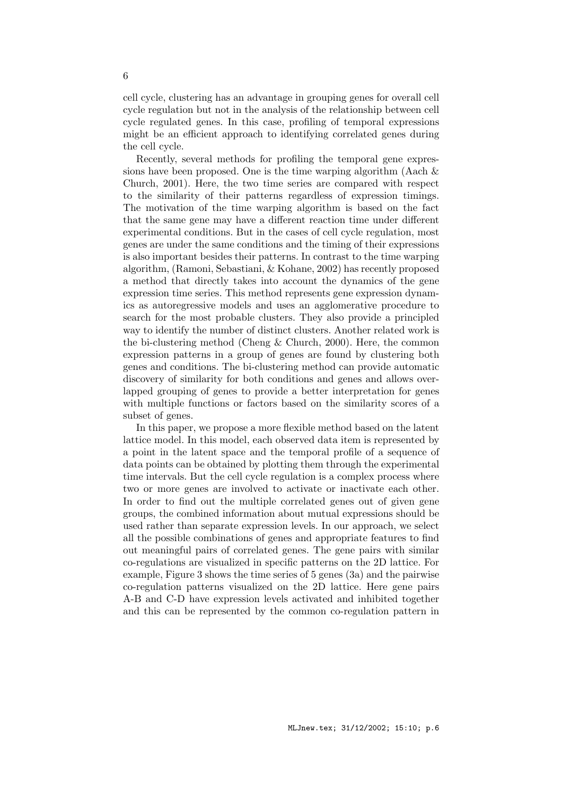cell cycle, clustering has an advantage in grouping genes for overall cell cycle regulation but not in the analysis of the relationship between cell cycle regulated genes. In this case, profiling of temporal expressions might be an efficient approach to identifying correlated genes during the cell cycle.

Recently, several methods for profiling the temporal gene expressions have been proposed. One is the time warping algorithm (Aach  $\&$ Church, 2001). Here, the two time series are compared with respect to the similarity of their patterns regardless of expression timings. The motivation of the time warping algorithm is based on the fact that the same gene may have a different reaction time under different experimental conditions. But in the cases of cell cycle regulation, most genes are under the same conditions and the timing of their expressions is also important besides their patterns. In contrast to the time warping algorithm, (Ramoni, Sebastiani, & Kohane, 2002) has recently proposed a method that directly takes into account the dynamics of the gene expression time series. This method represents gene expression dynamics as autoregressive models and uses an agglomerative procedure to search for the most probable clusters. They also provide a principled way to identify the number of distinct clusters. Another related work is the bi-clustering method (Cheng & Church, 2000). Here, the common expression patterns in a group of genes are found by clustering both genes and conditions. The bi-clustering method can provide automatic discovery of similarity for both conditions and genes and allows overlapped grouping of genes to provide a better interpretation for genes with multiple functions or factors based on the similarity scores of a subset of genes.

In this paper, we propose a more flexible method based on the latent lattice model. In this model, each observed data item is represented by a point in the latent space and the temporal profile of a sequence of data points can be obtained by plotting them through the experimental time intervals. But the cell cycle regulation is a complex process where two or more genes are involved to activate or inactivate each other. In order to find out the multiple correlated genes out of given gene groups, the combined information about mutual expressions should be used rather than separate expression levels. In our approach, we select all the possible combinations of genes and appropriate features to find out meaningful pairs of correlated genes. The gene pairs with similar co-regulations are visualized in specific patterns on the 2D lattice. For example, Figure 3 shows the time series of 5 genes (3a) and the pairwise co-regulation patterns visualized on the 2D lattice. Here gene pairs A-B and C-D have expression levels activated and inhibited together and this can be represented by the common co-regulation pattern in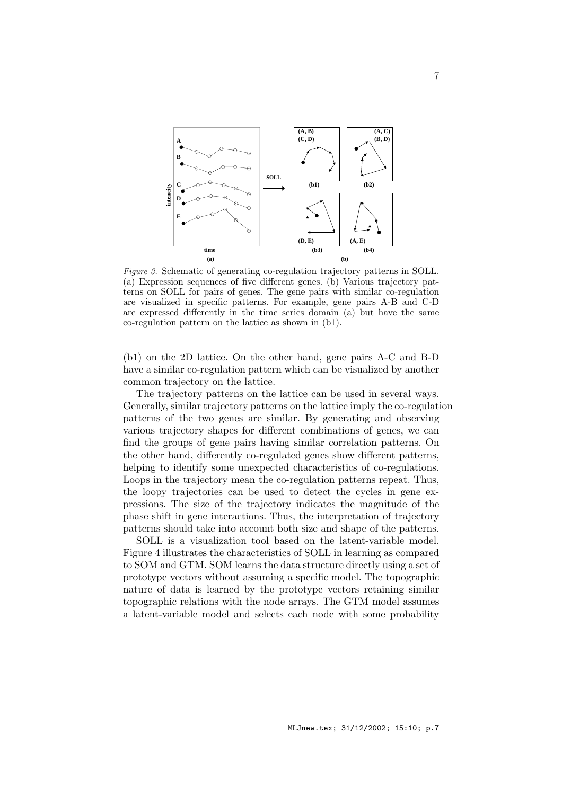

Figure 3. Schematic of generating co-regulation trajectory patterns in SOLL. (a) Expression sequences of five different genes. (b) Various trajectory patterns on SOLL for pairs of genes. The gene pairs with similar co-regulation are visualized in specific patterns. For example, gene pairs A-B and C-D are expressed differently in the time series domain (a) but have the same co-regulation pattern on the lattice as shown in (b1).

(b1) on the 2D lattice. On the other hand, gene pairs A-C and B-D have a similar co-regulation pattern which can be visualized by another common trajectory on the lattice.

The trajectory patterns on the lattice can be used in several ways. Generally, similar trajectory patterns on the lattice imply the co-regulation patterns of the two genes are similar. By generating and observing various trajectory shapes for different combinations of genes, we can find the groups of gene pairs having similar correlation patterns. On the other hand, differently co-regulated genes show different patterns, helping to identify some unexpected characteristics of co-regulations. Loops in the trajectory mean the co-regulation patterns repeat. Thus, the loopy trajectories can be used to detect the cycles in gene expressions. The size of the trajectory indicates the magnitude of the phase shift in gene interactions. Thus, the interpretation of trajectory patterns should take into account both size and shape of the patterns.

SOLL is a visualization tool based on the latent-variable model. Figure 4 illustrates the characteristics of SOLL in learning as compared to SOM and GTM. SOM learns the data structure directly using a set of prototype vectors without assuming a specific model. The topographic nature of data is learned by the prototype vectors retaining similar topographic relations with the node arrays. The GTM model assumes a latent-variable model and selects each node with some probability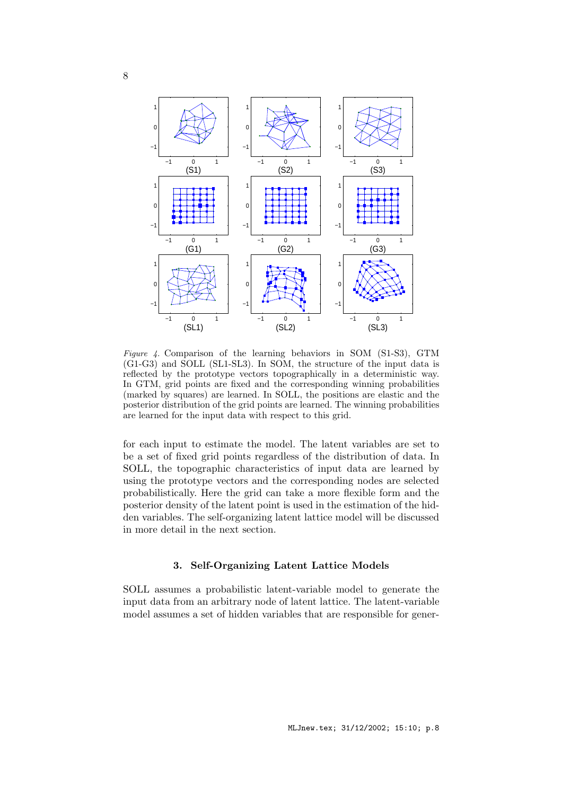

Figure 4. Comparison of the learning behaviors in SOM (S1-S3), GTM (G1-G3) and SOLL (SL1-SL3). In SOM, the structure of the input data is reflected by the prototype vectors topographically in a deterministic way. In GTM, grid points are fixed and the corresponding winning probabilities (marked by squares) are learned. In SOLL, the positions are elastic and the posterior distribution of the grid points are learned. The winning probabilities are learned for the input data with respect to this grid.

for each input to estimate the model. The latent variables are set to be a set of fixed grid points regardless of the distribution of data. In SOLL, the topographic characteristics of input data are learned by using the prototype vectors and the corresponding nodes are selected probabilistically. Here the grid can take a more flexible form and the posterior density of the latent point is used in the estimation of the hidden variables. The self-organizing latent lattice model will be discussed in more detail in the next section.

# **3. Self-Organizing Latent Lattice Models**

SOLL assumes a probabilistic latent-variable model to generate the input data from an arbitrary node of latent lattice. The latent-variable model assumes a set of hidden variables that are responsible for gener-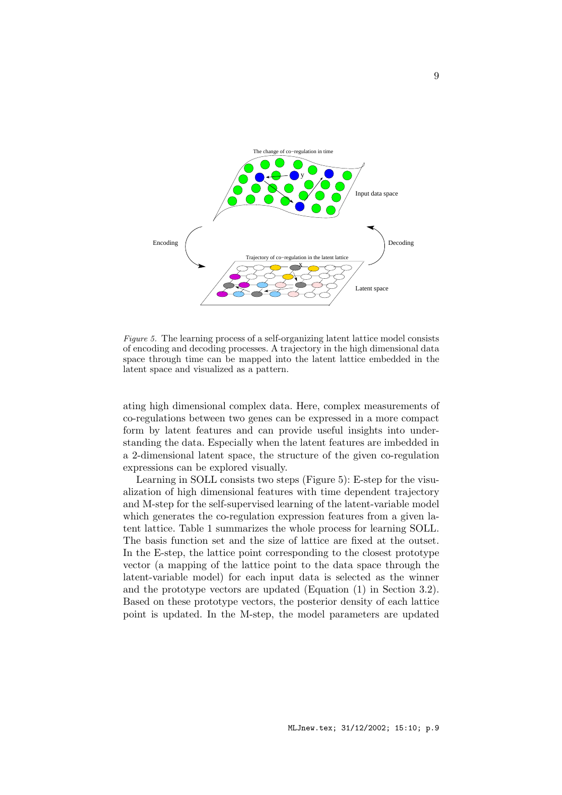

Figure 5. The learning process of a self-organizing latent lattice model consists of encoding and decoding processes. A trajectory in the high dimensional data space through time can be mapped into the latent lattice embedded in the latent space and visualized as a pattern.

ating high dimensional complex data. Here, complex measurements of co-regulations between two genes can be expressed in a more compact form by latent features and can provide useful insights into understanding the data. Especially when the latent features are imbedded in a 2-dimensional latent space, the structure of the given co-regulation expressions can be explored visually.

Learning in SOLL consists two steps (Figure 5): E-step for the visualization of high dimensional features with time dependent trajectory and M-step for the self-supervised learning of the latent-variable model which generates the co-regulation expression features from a given latent lattice. Table 1 summarizes the whole process for learning SOLL. The basis function set and the size of lattice are fixed at the outset. In the E-step, the lattice point corresponding to the closest prototype vector (a mapping of the lattice point to the data space through the latent-variable model) for each input data is selected as the winner and the prototype vectors are updated (Equation (1) in Section 3.2). Based on these prototype vectors, the posterior density of each lattice point is updated. In the M-step, the model parameters are updated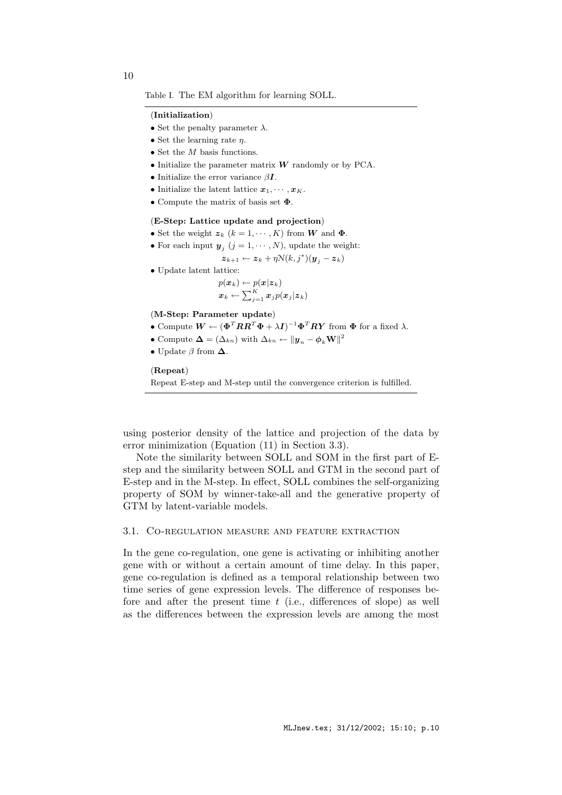Table I. The EM algorithm for learning SOLL.

#### (**Initialization**)

- Set the penalty parameter  $\lambda$ .
- Set the learning rate  $\eta$ .
- $\bullet$  Set the  $M$  basis functions.
- Initialize the parameter matrix *W* randomly or by PCA.
- Initialize the error variance β*I*.
- Initialize the latent lattice  $x_1, \dots, x_K$ .
- Compute the matrix of basis set **<sup>Φ</sup>**.

## (**E-Step: Lattice update and projection**)

- Set the weight  $z_k$   $(k = 1, \dots, K)$  from **W** and **Φ**.
- For each input  $y_j$   $(j = 1, \dots, N)$ , update the weight:

$$
\boldsymbol{z}_{k+1} \leftarrow \boldsymbol{z}_k + \eta \mathrm{N}(k,j^*) (\boldsymbol{y}_j - \boldsymbol{z}_k)
$$

• Update latent lattice:

$$
\begin{array}{l} p(\bm{x}_k) \leftarrow p(\bm{x}|\bm{z}_k) \\ \bm{x}_k \leftarrow \sum_{j=1}^K \bm{x}_j p(\bm{x}_j|\bm{z}_k) \end{array}
$$

#### (**M-Step: Parameter update**)

- Compute  $W \leftarrow (\mathbf{\Phi}^T \mathbf{R} \mathbf{R}^T \mathbf{\Phi} + \lambda \mathbf{I})^{-1} \mathbf{\Phi}^T \mathbf{R} \mathbf{Y}$  from  $\mathbf{\Phi}$  for a fixed  $\lambda$ .
- Compute  $\mathbf{\Delta} = (\Delta_{kn})$  with  $\Delta_{kn} \leftarrow ||\mathbf{y}_n \mathbf{\phi}_k \mathbf{W}||^2$
- Update <sup>β</sup> from **<sup>∆</sup>**.

# (**Repeat**)

Repeat E-step and M-step until the convergence criterion is fulfilled.

using posterior density of the lattice and projection of the data by error minimization (Equation (11) in Section 3.3).

Note the similarity between SOLL and SOM in the first part of Estep and the similarity between SOLL and GTM in the second part of E-step and in the M-step. In effect, SOLL combines the self-organizing property of SOM by winner-take-all and the generative property of GTM by latent-variable models.

#### 3.1. Co-regulation measure and feature extraction

In the gene co-regulation, one gene is activating or inhibiting another gene with or without a certain amount of time delay. In this paper, gene co-regulation is defined as a temporal relationship between two time series of gene expression levels. The difference of responses before and after the present time  $t$  (i.e., differences of slope) as well as the differences between the expression levels are among the most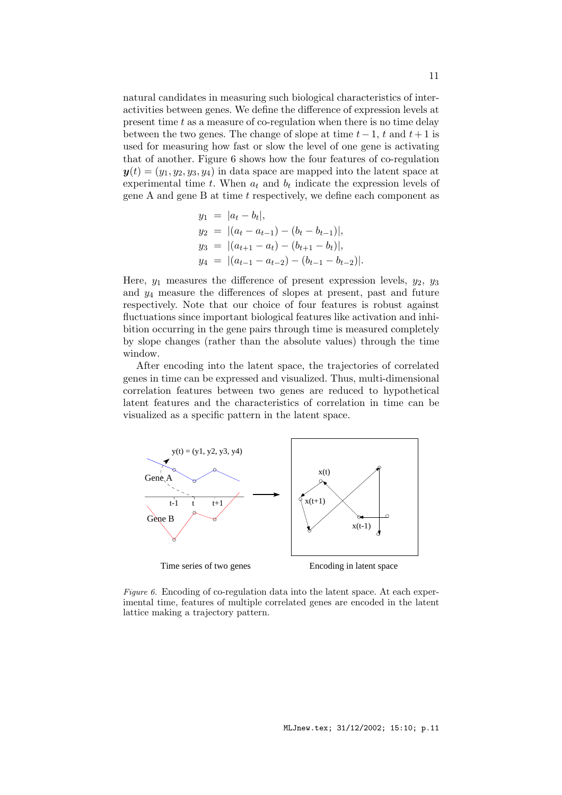natural candidates in measuring such biological characteristics of interactivities between genes. We define the difference of expression levels at present time  $t$  as a measure of co-regulation when there is no time delay between the two genes. The change of slope at time  $t-1$ , t and  $t+1$  is used for measuring how fast or slow the level of one gene is activating that of another. Figure 6 shows how the four features of co-regulation  $y(t)=(y_1, y_2, y_3, y_4)$  in data space are mapped into the latent space at experimental time t. When  $a_t$  and  $b_t$  indicate the expression levels of gene A and gene B at time  $t$  respectively, we define each component as

$$
y_1 = |a_t - b_t|,
$$
  
\n
$$
y_2 = |(a_t - a_{t-1}) - (b_t - b_{t-1})|,
$$
  
\n
$$
y_3 = |(a_{t+1} - a_t) - (b_{t+1} - b_t)|,
$$
  
\n
$$
y_4 = |(a_{t-1} - a_{t-2}) - (b_{t-1} - b_{t-2})|.
$$

Here,  $y_1$  measures the difference of present expression levels,  $y_2$ ,  $y_3$ and y<sup>4</sup> measure the differences of slopes at present, past and future respectively. Note that our choice of four features is robust against fluctuations since important biological features like activation and inhibition occurring in the gene pairs through time is measured completely by slope changes (rather than the absolute values) through the time window.

After encoding into the latent space, the trajectories of correlated genes in time can be expressed and visualized. Thus, multi-dimensional correlation features between two genes are reduced to hypothetical latent features and the characteristics of correlation in time can be visualized as a specific pattern in the latent space.



Figure 6. Encoding of co-regulation data into the latent space. At each experimental time, features of multiple correlated genes are encoded in the latent lattice making a trajectory pattern.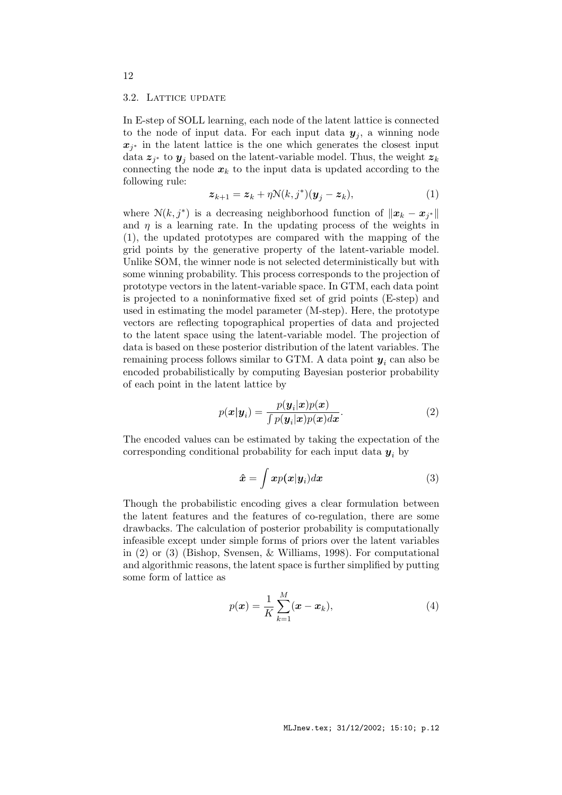#### 3.2. Lattice update

In E-step of SOLL learning, each node of the latent lattice is connected to the node of input data. For each input data  $y_i$ , a winning node  $x_{i^*}$  in the latent lattice is the one which generates the closest input data  $z_j$ <sup>\*</sup> to  $y_j$  based on the latent-variable model. Thus, the weight  $z_k$ connecting the node  $x_k$  to the input data is updated according to the following rule:

$$
\boldsymbol{z}_{k+1} = \boldsymbol{z}_k + \eta \mathcal{N}(k, j^*) (\boldsymbol{y}_j - \boldsymbol{z}_k), \tag{1}
$$

where  $N(k, j^*)$  is a decreasing neighborhood function of  $\|\mathbf{x}_k - \mathbf{x}_{j^*}\|$ and  $\eta$  is a learning rate. In the updating process of the weights in (1), the updated prototypes are compared with the mapping of the grid points by the generative property of the latent-variable model. Unlike SOM, the winner node is not selected deterministically but with some winning probability. This process corresponds to the projection of prototype vectors in the latent-variable space. In GTM, each data point is projected to a noninformative fixed set of grid points (E-step) and used in estimating the model parameter (M-step). Here, the prototype vectors are reflecting topographical properties of data and projected to the latent space using the latent-variable model. The projection of data is based on these posterior distribution of the latent variables. The remaining process follows similar to GTM. A data point  $y_i$  can also be encoded probabilistically by computing Bayesian posterior probability of each point in the latent lattice by

$$
p(\boldsymbol{x}|\boldsymbol{y}_i) = \frac{p(\boldsymbol{y}_i|\boldsymbol{x})p(\boldsymbol{x})}{\int p(\boldsymbol{y}_i|\boldsymbol{x})p(\boldsymbol{x})d\boldsymbol{x}}.\tag{2}
$$

The encoded values can be estimated by taking the expectation of the corresponding conditional probability for each input data  $y_i$  by

$$
\hat{x} = \int x p(x|y_i) dx \tag{3}
$$

Though the probabilistic encoding gives a clear formulation between the latent features and the features of co-regulation, there are some drawbacks. The calculation of posterior probability is computationally infeasible except under simple forms of priors over the latent variables in (2) or (3) (Bishop, Svensen, & Williams, 1998). For computational and algorithmic reasons, the latent space is further simplified by putting some form of lattice as

$$
p(x) = \frac{1}{K} \sum_{k=1}^{M} (x - x_k),
$$
 (4)

12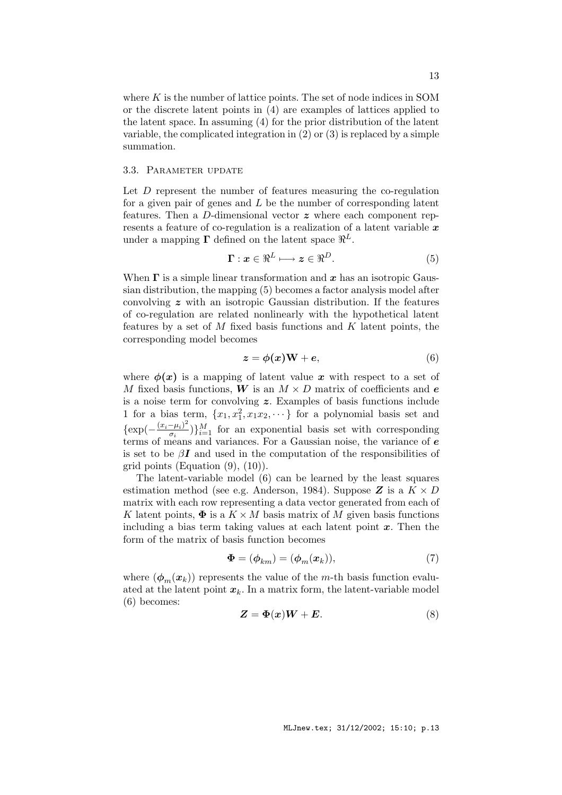where  $K$  is the number of lattice points. The set of node indices in SOM or the discrete latent points in (4) are examples of lattices applied to the latent space. In assuming (4) for the prior distribution of the latent variable, the complicated integration in (2) or (3) is replaced by a simple summation.

## 3.3. PARAMETER UPDATE

Let D represent the number of features measuring the co-regulation for a given pair of genes and  $L$  be the number of corresponding latent features. Then a D-dimensional vector *z* where each component represents a feature of co-regulation is a realization of a latent variable *x* under a mapping  $\Gamma$  defined on the latent space  $\Re^L$ .

$$
\Gamma: x \in \mathbb{R}^L \longmapsto z \in \mathbb{R}^D. \tag{5}
$$

When **Γ** is a simple linear transformation and *x* has an isotropic Gaussian distribution, the mapping (5) becomes a factor analysis model after convolving *z* with an isotropic Gaussian distribution. If the features of co-regulation are related nonlinearly with the hypothetical latent features by a set of  $M$  fixed basis functions and  $K$  latent points, the corresponding model becomes

$$
z = \phi(x)\mathbf{W} + e,\tag{6}
$$

where  $\phi(x)$  is a mapping of latent value x with respect to a set of M fixed basis functions, **W** is an  $M \times D$  matrix of coefficients and **e** is a noise term for convolving *z*. Examples of basis functions include 1 for a bias term,  $\{x_1, x_1^2, x_1x_2, \cdots\}$  for a polynomial basis set and  $\{\exp(-\frac{(x_i-\mu_i)^2}{\sigma_i})\}_{i=1}^M$  for an exponential basis set with corresponding terms of means and variances. For a Gaussian noise, the variance of *e* is set to be  $\beta I$  and used in the computation of the responsibilities of grid points (Equation  $(9)$ ,  $(10)$ ).

The latent-variable model (6) can be learned by the least squares estimation method (see e.g. Anderson, 1984). Suppose **Z** is a  $K \times D$ matrix with each row representing a data vector generated from each of K latent points,  $\Phi$  is a  $K \times M$  basis matrix of M given basis functions including a bias term taking values at each latent point *x*. Then the form of the matrix of basis function becomes

$$
\mathbf{\Phi} = (\phi_{km}) = (\phi_m(\mathbf{x}_k)),\tag{7}
$$

where  $(\phi_m(x_k))$  represents the value of the m-th basis function evaluated at the latent point  $x_k$ . In a matrix form, the latent-variable model (6) becomes:

$$
Z = \Phi(x)W + E. \tag{8}
$$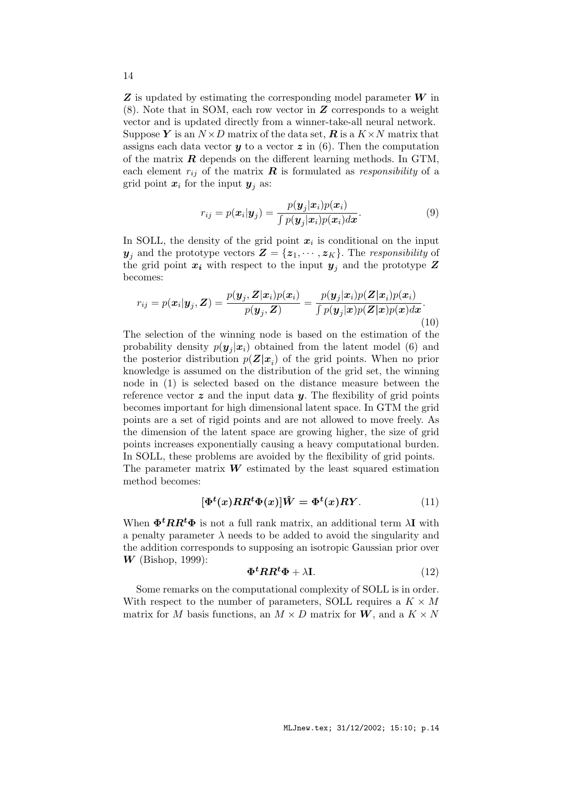*Z* is updated by estimating the corresponding model parameter *W* in (8). Note that in SOM, each row vector in *Z* corresponds to a weight vector and is updated directly from a winner-take-all neural network. Suppose *Y* is an  $N \times D$  matrix of the data set, *R* is a  $K \times N$  matrix that assigns each data vector  $y$  to a vector  $z$  in (6). Then the computation of the matrix *R* depends on the different learning methods. In GTM, each element  $r_{ij}$  of the matrix  $\boldsymbol{R}$  is formulated as *responsibility* of a grid point  $x_i$  for the input  $y_j$  as:

$$
r_{ij} = p(\boldsymbol{x}_i | \boldsymbol{y}_j) = \frac{p(\boldsymbol{y}_j | \boldsymbol{x}_i) p(\boldsymbol{x}_i)}{\int p(\boldsymbol{y}_j | \boldsymbol{x}_i) p(\boldsymbol{x}_i) d\boldsymbol{x}}.
$$
\n(9)

In SOLL, the density of the grid point  $x_i$  is conditional on the input  $y_j$  and the prototype vectors  $\mathbf{Z} = \{z_1, \dots, z_K\}$ . The *responsibility* of the grid point  $x_i$  with respect to the input  $y_j$  and the prototype  $Z$ becomes:

$$
r_{ij} = p(\boldsymbol{x}_i | \boldsymbol{y}_j, \boldsymbol{Z}) = \frac{p(\boldsymbol{y}_j, \boldsymbol{Z} | \boldsymbol{x}_i) p(\boldsymbol{x}_i)}{p(\boldsymbol{y}_j, \boldsymbol{Z})} = \frac{p(\boldsymbol{y}_j | \boldsymbol{x}_i) p(\boldsymbol{Z} | \boldsymbol{x}_i) p(\boldsymbol{x}_i)}{\int p(\boldsymbol{y}_j | \boldsymbol{x}) p(\boldsymbol{Z} | \boldsymbol{x}) p(\boldsymbol{x}) d\boldsymbol{x}}.
$$
\n(10)

The selection of the winning node is based on the estimation of the probability density  $p(\mathbf{y}_i | \mathbf{x}_i)$  obtained from the latent model (6) and the posterior distribution  $p(\mathbf{Z}|\mathbf{x}_i)$  of the grid points. When no prior knowledge is assumed on the distribution of the grid set, the winning node in (1) is selected based on the distance measure between the reference vector  $z$  and the input data  $y$ . The flexibility of grid points becomes important for high dimensional latent space. In GTM the grid points are a set of rigid points and are not allowed to move freely. As the dimension of the latent space are growing higher, the size of grid points increases exponentially causing a heavy computational burden. In SOLL, these problems are avoided by the flexibility of grid points. The parameter matrix  $W$  estimated by the least squared estimation method becomes:

$$
[\Phi^t(x)RR^t\Phi(x)]\hat{W} = \Phi^t(x)RY.
$$
\n(11)

When  $\Phi^tRR^t\Phi$  is not a full rank matrix, an additional term  $\lambda$ **I** with a penalty parameter  $\lambda$  needs to be added to avoid the singularity and the addition corresponds to supposing an isotropic Gaussian prior over *W* (Bishop, 1999):

$$
\Phi^t R R^t \Phi + \lambda I. \tag{12}
$$

Some remarks on the computational complexity of SOLL is in order. With respect to the number of parameters, SOLL requires a  $K \times M$ matrix for M basis functions, an  $M \times D$  matrix for W, and a  $K \times N$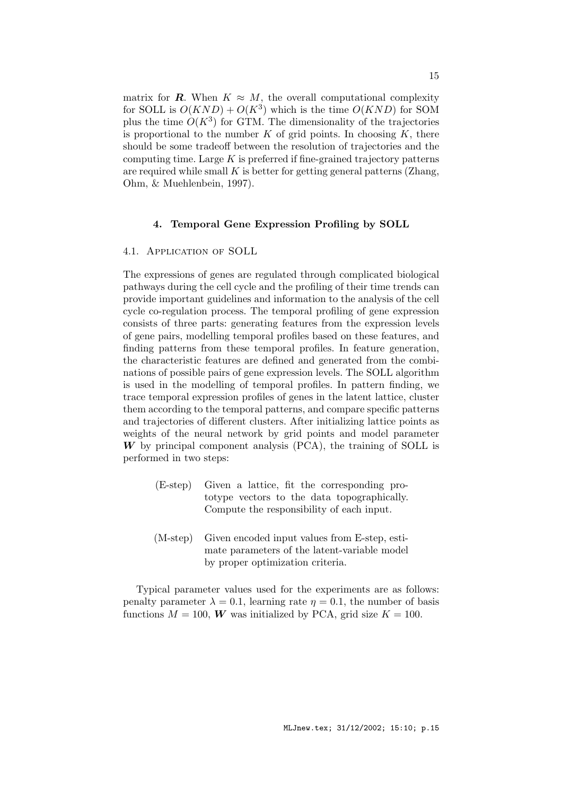matrix for *R*. When  $K \approx M$ , the overall computational complexity for SOLL is  $O(KND) + O(K^3)$  which is the time  $O(KND)$  for SOM plus the time  $O(K^3)$  for GTM. The dimensionality of the trajectories is proportional to the number  $K$  of grid points. In choosing  $K$ , there should be some tradeoff between the resolution of trajectories and the computing time. Large  $K$  is preferred if fine-grained trajectory patterns are required while small  $K$  is better for getting general patterns (Zhang, Ohm, & Muehlenbein, 1997).

## **4. Temporal Gene Expression Profiling by SOLL**

#### 4.1. Application of SOLL

The expressions of genes are regulated through complicated biological pathways during the cell cycle and the profiling of their time trends can provide important guidelines and information to the analysis of the cell cycle co-regulation process. The temporal profiling of gene expression consists of three parts: generating features from the expression levels of gene pairs, modelling temporal profiles based on these features, and finding patterns from these temporal profiles. In feature generation, the characteristic features are defined and generated from the combinations of possible pairs of gene expression levels. The SOLL algorithm is used in the modelling of temporal profiles. In pattern finding, we trace temporal expression profiles of genes in the latent lattice, cluster them according to the temporal patterns, and compare specific patterns and trajectories of different clusters. After initializing lattice points as weights of the neural network by grid points and model parameter *W* by principal component analysis (PCA), the training of SOLL is performed in two steps:

- (E-step) Given a lattice, fit the corresponding prototype vectors to the data topographically. Compute the responsibility of each input.
- (M-step) Given encoded input values from E-step, estimate parameters of the latent-variable model by proper optimization criteria.

Typical parameter values used for the experiments are as follows: penalty parameter  $\lambda = 0.1$ , learning rate  $\eta = 0.1$ , the number of basis functions  $M = 100$ , **W** was initialized by PCA, grid size  $K = 100$ .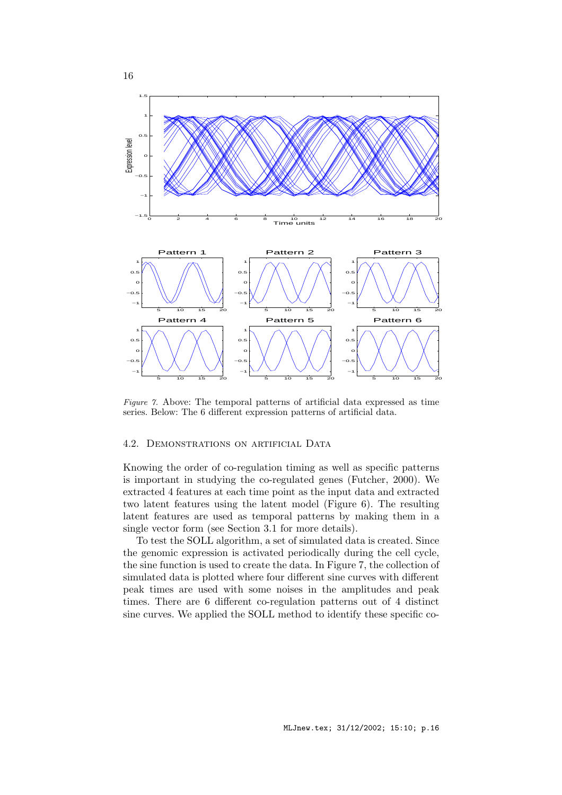

Figure 7. Above: The temporal patterns of artificial data expressed as time series. Below: The 6 different expression patterns of artificial data.

# 4.2. Demonstrations on artificial Data

Knowing the order of co-regulation timing as well as specific patterns is important in studying the co-regulated genes (Futcher, 2000). We extracted 4 features at each time point as the input data and extracted two latent features using the latent model (Figure 6). The resulting latent features are used as temporal patterns by making them in a single vector form (see Section 3.1 for more details).

To test the SOLL algorithm, a set of simulated data is created. Since the genomic expression is activated periodically during the cell cycle, the sine function is used to create the data. In Figure 7, the collection of simulated data is plotted where four different sine curves with different peak times are used with some noises in the amplitudes and peak times. There are 6 different co-regulation patterns out of 4 distinct sine curves. We applied the SOLL method to identify these specific co-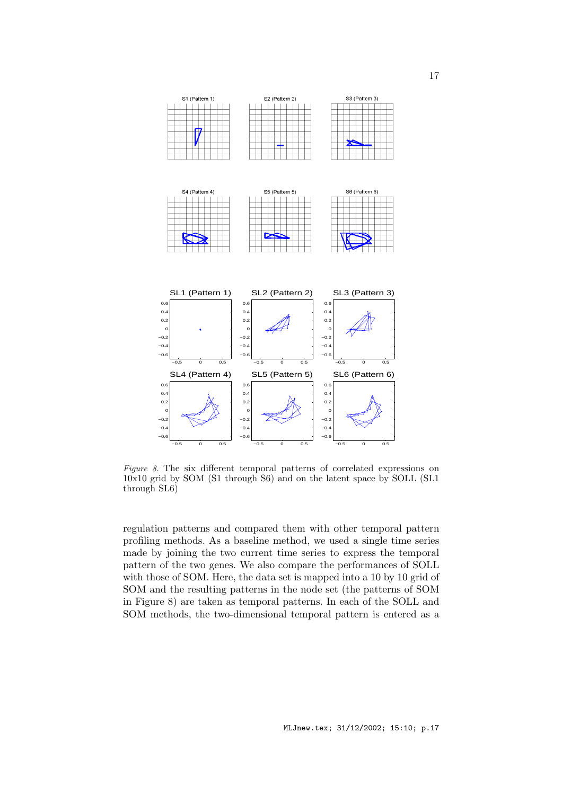

Figure 8. The six different temporal patterns of correlated expressions on 10x10 grid by SOM (S1 through S6) and on the latent space by SOLL (SL1 through SL6)

regulation patterns and compared them with other temporal pattern profiling methods. As a baseline method, we used a single time series made by joining the two current time series to express the temporal pattern of the two genes. We also compare the performances of SOLL with those of SOM. Here, the data set is mapped into a 10 by 10 grid of SOM and the resulting patterns in the node set (the patterns of SOM in Figure 8) are taken as temporal patterns. In each of the SOLL and SOM methods, the two-dimensional temporal pattern is entered as a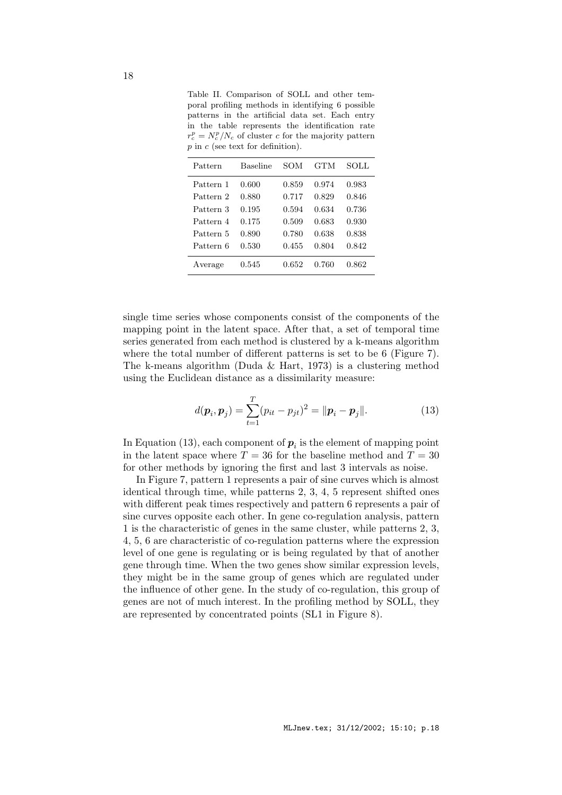Table II. Comparison of SOLL and other temporal profiling methods in identifying 6 possible patterns in the artificial data set. Each entry in the table represents the identification rate  $r_c^p = N_c^p/N_c$  of cluster c for the majority pattern p in c (see text for definition).

| Pattern   | Baseline | SOM   | GTM   | SOLL  |
|-----------|----------|-------|-------|-------|
| Pattern 1 | 0.600    | 0.859 | 0.974 | 0.983 |
| Pattern 2 | 0.880    | 0.717 | 0.829 | 0.846 |
| Pattern 3 | 0.195    | 0.594 | 0.634 | 0.736 |
| Pattern 4 | 0.175    | 0.509 | 0.683 | 0.930 |
| Pattern 5 | 0.890    | 0.780 | 0.638 | 0.838 |
| Pattern 6 | 0.530    | 0.455 | 0.804 | 0.842 |
| Average   | 0.545    | 0.652 | 0.760 | 0.862 |

single time series whose components consist of the components of the mapping point in the latent space. After that, a set of temporal time series generated from each method is clustered by a k-means algorithm where the total number of different patterns is set to be 6 (Figure 7). The k-means algorithm (Duda & Hart, 1973) is a clustering method using the Euclidean distance as a dissimilarity measure:

$$
d(\boldsymbol{p}_i, \boldsymbol{p}_j) = \sum_{t=1}^{T} (p_{it} - p_{jt})^2 = ||\boldsymbol{p}_i - \boldsymbol{p}_j||.
$$
 (13)

In Equation (13), each component of  $p_i$  is the element of mapping point in the latent space where  $T = 36$  for the baseline method and  $T = 30$ for other methods by ignoring the first and last 3 intervals as noise.

In Figure 7, pattern 1 represents a pair of sine curves which is almost identical through time, while patterns 2, 3, 4, 5 represent shifted ones with different peak times respectively and pattern 6 represents a pair of sine curves opposite each other. In gene co-regulation analysis, pattern 1 is the characteristic of genes in the same cluster, while patterns 2, 3, 4, 5, 6 are characteristic of co-regulation patterns where the expression level of one gene is regulating or is being regulated by that of another gene through time. When the two genes show similar expression levels, they might be in the same group of genes which are regulated under the influence of other gene. In the study of co-regulation, this group of genes are not of much interest. In the profiling method by SOLL, they are represented by concentrated points (SL1 in Figure 8).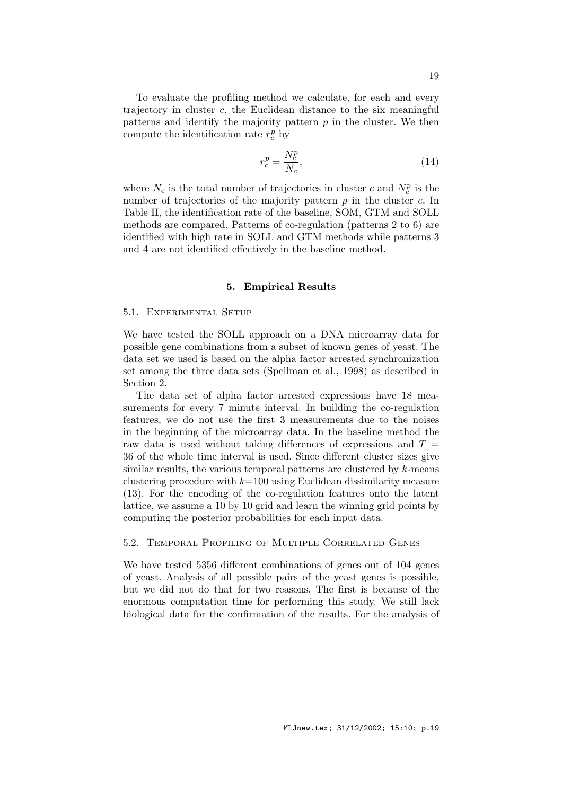To evaluate the profiling method we calculate, for each and every trajectory in cluster  $c$ , the Euclidean distance to the six meaningful patterns and identify the majority pattern  $p$  in the cluster. We then compute the identification rate  $r_c^p$  by

$$
r_c^p = \frac{N_c^p}{N_c},\tag{14}
$$

where  $N_c$  is the total number of trajectories in cluster c and  $N_c^p$  is the number of trajectories of the majority pattern  $p$  in the cluster  $c$ . In Table II, the identification rate of the baseline, SOM, GTM and SOLL methods are compared. Patterns of co-regulation (patterns 2 to 6) are identified with high rate in SOLL and GTM methods while patterns 3 and 4 are not identified effectively in the baseline method.

## **5. Empirical Results**

#### 5.1. Experimental Setup

We have tested the SOLL approach on a DNA microarray data for possible gene combinations from a subset of known genes of yeast. The data set we used is based on the alpha factor arrested synchronization set among the three data sets (Spellman et al., 1998) as described in Section 2.

The data set of alpha factor arrested expressions have 18 measurements for every 7 minute interval. In building the co-regulation features, we do not use the first 3 measurements due to the noises in the beginning of the microarray data. In the baseline method the raw data is used without taking differences of expressions and  $T =$ 36 of the whole time interval is used. Since different cluster sizes give similar results, the various temporal patterns are clustered by  $k$ -means clustering procedure with  $k=100$  using Euclidean dissimilarity measure (13). For the encoding of the co-regulation features onto the latent lattice, we assume a 10 by 10 grid and learn the winning grid points by computing the posterior probabilities for each input data.

## 5.2. Temporal Profiling of Multiple Correlated Genes

We have tested 5356 different combinations of genes out of 104 genes of yeast. Analysis of all possible pairs of the yeast genes is possible, but we did not do that for two reasons. The first is because of the enormous computation time for performing this study. We still lack biological data for the confirmation of the results. For the analysis of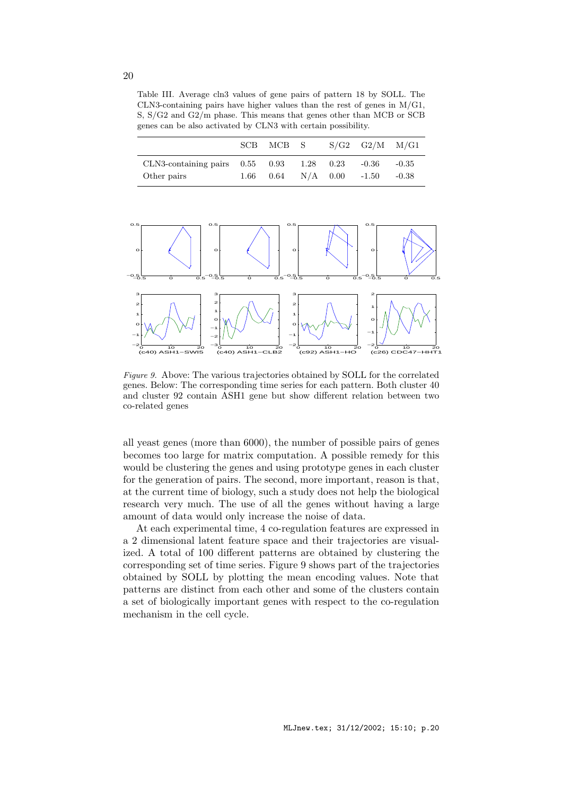Table III. Average cln3 values of gene pairs of pattern 18 by SOLL. The CLN3-containing pairs have higher values than the rest of genes in  $M/G1$ , S, S/G2 and G2/m phase. This means that genes other than MCB or SCB genes can be also activated by CLN3 with certain possibility.

|                                                                          | SCB MCB S |  | $S/G2$ $G2/M$ $M/G1$               |                    |
|--------------------------------------------------------------------------|-----------|--|------------------------------------|--------------------|
| CLN3-containing pairs $0.55$ $0.93$ $1.28$ $0.23$ $-0.36$<br>Other pairs |           |  | $1.66$ $0.64$ $N/A$ $0.00$ $-1.50$ | $-0.35$<br>$-0.38$ |



Figure 9. Above: The various trajectories obtained by SOLL for the correlated genes. Below: The corresponding time series for each pattern. Both cluster 40 and cluster 92 contain ASH1 gene but show different relation between two co-related genes

all yeast genes (more than 6000), the number of possible pairs of genes becomes too large for matrix computation. A possible remedy for this would be clustering the genes and using prototype genes in each cluster for the generation of pairs. The second, more important, reason is that, at the current time of biology, such a study does not help the biological research very much. The use of all the genes without having a large amount of data would only increase the noise of data.

At each experimental time, 4 co-regulation features are expressed in a 2 dimensional latent feature space and their trajectories are visualized. A total of 100 different patterns are obtained by clustering the corresponding set of time series. Figure 9 shows part of the trajectories obtained by SOLL by plotting the mean encoding values. Note that patterns are distinct from each other and some of the clusters contain a set of biologically important genes with respect to the co-regulation mechanism in the cell cycle.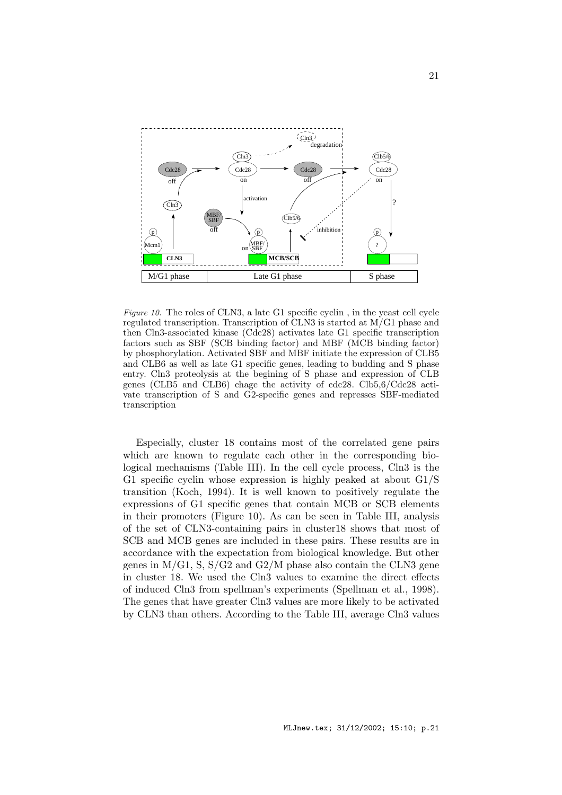

Figure 10. The roles of CLN3, a late G1 specific cyclin, in the yeast cell cycle regulated transcription. Transcription of CLN3 is started at M/G1 phase and then Cln3-associated kinase (Cdc28) activates late G1 specific transcription factors such as SBF (SCB binding factor) and MBF (MCB binding factor) by phosphorylation. Activated SBF and MBF initiate the expression of CLB5 and CLB6 as well as late G1 specific genes, leading to budding and S phase entry. Cln3 proteolysis at the begining of S phase and expression of CLB genes (CLB5 and CLB6) chage the activity of cdc28. Clb5,6/Cdc28 activate transcription of S and G2-specific genes and represses SBF-mediated transcription

Especially, cluster 18 contains most of the correlated gene pairs which are known to regulate each other in the corresponding biological mechanisms (Table III). In the cell cycle process, Cln3 is the G1 specific cyclin whose expression is highly peaked at about G1/S transition (Koch, 1994). It is well known to positively regulate the expressions of G1 specific genes that contain MCB or SCB elements in their promoters (Figure 10). As can be seen in Table III, analysis of the set of CLN3-containing pairs in cluster18 shows that most of SCB and MCB genes are included in these pairs. These results are in accordance with the expectation from biological knowledge. But other genes in M/G1, S, S/G2 and G2/M phase also contain the CLN3 gene in cluster 18. We used the Cln3 values to examine the direct effects of induced Cln3 from spellman's experiments (Spellman et al., 1998). The genes that have greater Cln3 values are more likely to be activated by CLN3 than others. According to the Table III, average Cln3 values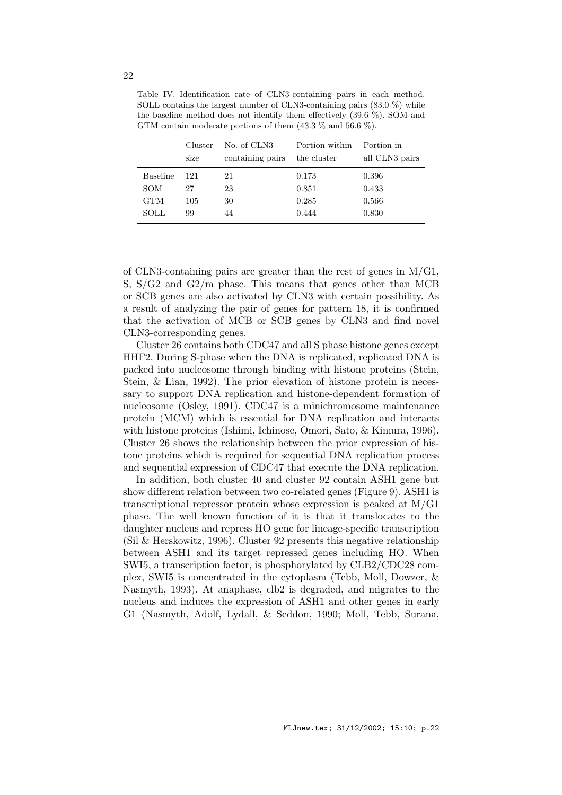|                 | Cluster<br>size | No. of CLN3-<br>containing pairs | Portion within<br>the cluster | Portion in<br>all CLN3 pairs |
|-----------------|-----------------|----------------------------------|-------------------------------|------------------------------|
| <b>Baseline</b> | 121             | 21                               | 0.173                         | 0.396                        |
| SOM             | 27              | 23                               | 0.851                         | 0.433                        |
| <b>GTM</b>      | 105             | 30                               | 0.285                         | 0.566                        |
| SOLL            | 99              | 44                               | 0.444                         | 0.830                        |

Table IV. Identification rate of CLN3-containing pairs in each method. SOLL contains the largest number of CLN3-containing pairs (83.0 %) while the baseline method does not identify them effectively (39.6 %). SOM and GTM contain moderate portions of them (43.3 % and 56.6 %).

of CLN3-containing pairs are greater than the rest of genes in M/G1, S, S/G2 and G2/m phase. This means that genes other than MCB or SCB genes are also activated by CLN3 with certain possibility. As a result of analyzing the pair of genes for pattern 18, it is confirmed that the activation of MCB or SCB genes by CLN3 and find novel CLN3-corresponding genes.

Cluster 26 contains both CDC47 and all S phase histone genes except HHF2. During S-phase when the DNA is replicated, replicated DNA is packed into nucleosome through binding with histone proteins (Stein, Stein, & Lian, 1992). The prior elevation of histone protein is necessary to support DNA replication and histone-dependent formation of nucleosome (Osley, 1991). CDC47 is a minichromosome maintenance protein (MCM) which is essential for DNA replication and interacts with histone proteins (Ishimi, Ichinose, Omori, Sato, & Kimura, 1996). Cluster 26 shows the relationship between the prior expression of histone proteins which is required for sequential DNA replication process and sequential expression of CDC47 that execute the DNA replication.

In addition, both cluster 40 and cluster 92 contain ASH1 gene but show different relation between two co-related genes (Figure 9). ASH1 is transcriptional repressor protein whose expression is peaked at M/G1 phase. The well known function of it is that it translocates to the daughter nucleus and repress HO gene for lineage-specific transcription (Sil & Herskowitz, 1996). Cluster 92 presents this negative relationship between ASH1 and its target repressed genes including HO. When SWI5, a transcription factor, is phosphorylated by CLB2/CDC28 complex, SWI5 is concentrated in the cytoplasm (Tebb, Moll, Dowzer, & Nasmyth, 1993). At anaphase, clb2 is degraded, and migrates to the nucleus and induces the expression of ASH1 and other genes in early G1 (Nasmyth, Adolf, Lydall, & Seddon, 1990; Moll, Tebb, Surana,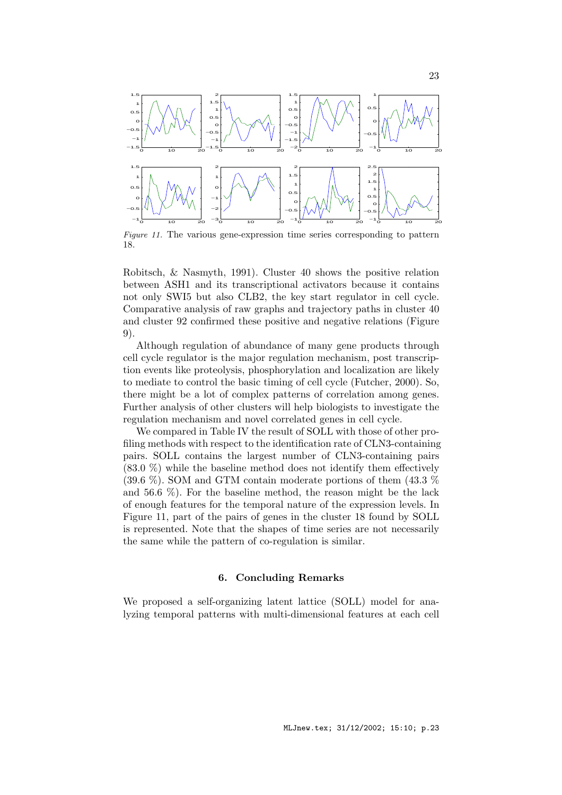

Figure 11. The various gene-expression time series corresponding to pattern 18.

Robitsch, & Nasmyth, 1991). Cluster 40 shows the positive relation between ASH1 and its transcriptional activators because it contains not only SWI5 but also CLB2, the key start regulator in cell cycle. Comparative analysis of raw graphs and trajectory paths in cluster 40 and cluster 92 confirmed these positive and negative relations (Figure 9).

Although regulation of abundance of many gene products through cell cycle regulator is the major regulation mechanism, post transcription events like proteolysis, phosphorylation and localization are likely to mediate to control the basic timing of cell cycle (Futcher, 2000). So, there might be a lot of complex patterns of correlation among genes. Further analysis of other clusters will help biologists to investigate the regulation mechanism and novel correlated genes in cell cycle.

We compared in Table IV the result of SOLL with those of other profiling methods with respect to the identification rate of CLN3-containing pairs. SOLL contains the largest number of CLN3-containing pairs (83.0 %) while the baseline method does not identify them effectively  $(39.6\%)$ . SOM and GTM contain moderate portions of them  $(43.3\%$ and 56.6 %). For the baseline method, the reason might be the lack of enough features for the temporal nature of the expression levels. In Figure 11, part of the pairs of genes in the cluster 18 found by SOLL is represented. Note that the shapes of time series are not necessarily the same while the pattern of co-regulation is similar.

# **6. Concluding Remarks**

We proposed a self-organizing latent lattice (SOLL) model for analyzing temporal patterns with multi-dimensional features at each cell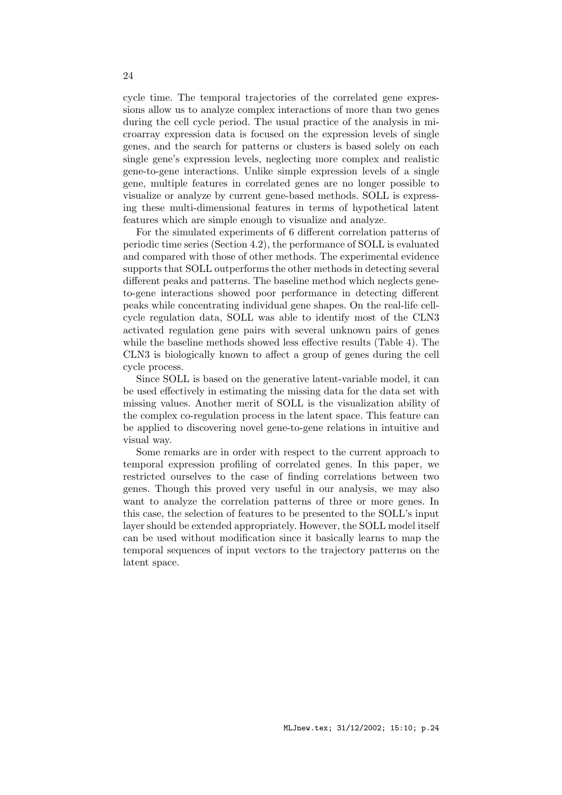cycle time. The temporal trajectories of the correlated gene expressions allow us to analyze complex interactions of more than two genes during the cell cycle period. The usual practice of the analysis in microarray expression data is focused on the expression levels of single genes, and the search for patterns or clusters is based solely on each single gene's expression levels, neglecting more complex and realistic gene-to-gene interactions. Unlike simple expression levels of a single gene, multiple features in correlated genes are no longer possible to visualize or analyze by current gene-based methods. SOLL is expressing these multi-dimensional features in terms of hypothetical latent features which are simple enough to visualize and analyze.

For the simulated experiments of 6 different correlation patterns of periodic time series (Section 4.2), the performance of SOLL is evaluated and compared with those of other methods. The experimental evidence supports that SOLL outperforms the other methods in detecting several different peaks and patterns. The baseline method which neglects geneto-gene interactions showed poor performance in detecting different peaks while concentrating individual gene shapes. On the real-life cellcycle regulation data, SOLL was able to identify most of the CLN3 activated regulation gene pairs with several unknown pairs of genes while the baseline methods showed less effective results (Table 4). The CLN3 is biologically known to affect a group of genes during the cell cycle process.

Since SOLL is based on the generative latent-variable model, it can be used effectively in estimating the missing data for the data set with missing values. Another merit of SOLL is the visualization ability of the complex co-regulation process in the latent space. This feature can be applied to discovering novel gene-to-gene relations in intuitive and visual way.

Some remarks are in order with respect to the current approach to temporal expression profiling of correlated genes. In this paper, we restricted ourselves to the case of finding correlations between two genes. Though this proved very useful in our analysis, we may also want to analyze the correlation patterns of three or more genes. In this case, the selection of features to be presented to the SOLL's input layer should be extended appropriately. However, the SOLL model itself can be used without modification since it basically learns to map the temporal sequences of input vectors to the trajectory patterns on the latent space.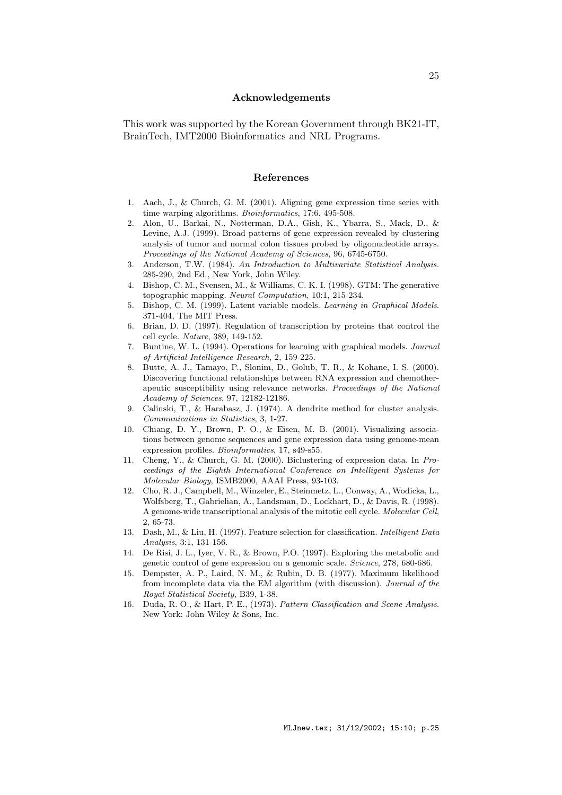## **Acknowledgements**

This work was supported by the Korean Government through BK21-IT, BrainTech, IMT2000 Bioinformatics and NRL Programs.

#### **References**

- 1. Aach, J., & Church, G. M. (2001). Aligning gene expression time series with time warping algorithms. Bioinformatics, 17:6, 495-508.
- 2. Alon, U., Barkai, N., Notterman, D.A., Gish, K., Ybarra, S., Mack, D., & Levine, A.J. (1999). Broad patterns of gene expression revealed by clustering analysis of tumor and normal colon tissues probed by oligonucleotide arrays. Proceedings of the National Academy of Sciences, 96, 6745-6750.
- 3. Anderson, T.W. (1984). An Introduction to Multivariate Statistical Analysis. 285-290, 2nd Ed., New York, John Wiley.
- 4. Bishop, C. M., Svensen, M., & Williams, C. K. I. (1998). GTM: The generative topographic mapping. Neural Computation, 10:1, 215-234.
- 5. Bishop, C. M. (1999). Latent variable models. Learning in Graphical Models. 371-404, The MIT Press.
- 6. Brian, D. D. (1997). Regulation of transcription by proteins that control the cell cycle. Nature, 389, 149-152.
- 7. Buntine, W. L. (1994). Operations for learning with graphical models. Journal of Artificial Intelligence Research, 2, 159-225.
- 8. Butte, A. J., Tamayo, P., Slonim, D., Golub, T. R., & Kohane, I. S. (2000). Discovering functional relationships between RNA expression and chemotherapeutic susceptibility using relevance networks. Proceedings of the National Academy of Sciences, 97, 12182-12186.
- 9. Calinski, T., & Harabasz, J. (1974). A dendrite method for cluster analysis. Communications in Statistics, 3, 1-27.
- 10. Chiang, D. Y., Brown, P. O., & Eisen, M. B. (2001). Visualizing associations between genome sequences and gene expression data using genome-mean expression profiles. Bioinformatics, 17, s49-s55.
- 11. Cheng, Y., & Church, G. M. (2000). Biclustering of expression data. In Proceedings of the Eighth International Conference on Intelligent Systems for Molecular Biology, ISMB2000, AAAI Press, 93-103.
- 12. Cho, R. J., Campbell, M., Winzeler, E., Steinmetz, L., Conway, A., Wodicka, L., Wolfsberg, T., Gabrielian, A., Landsman, D., Lockhart, D., & Davis, R. (1998). A genome-wide transcriptional analysis of the mitotic cell cycle. Molecular Cell, 2, 65-73.
- 13. Dash, M., & Liu, H. (1997). Feature selection for classification. Intelligent Data Analysis, 3:1, 131-156.
- 14. De Risi, J. L., Iyer, V. R., & Brown, P.O. (1997). Exploring the metabolic and genetic control of gene expression on a genomic scale. Science, 278, 680-686.
- 15. Dempster, A. P., Laird, N. M., & Rubin, D. B. (1977). Maximum likelihood from incomplete data via the EM algorithm (with discussion). Journal of the Royal Statistical Society, B39, 1-38.
- 16. Duda, R. O., & Hart, P. E., (1973). Pattern Classification and Scene Analysis. New York: John Wiley & Sons, Inc.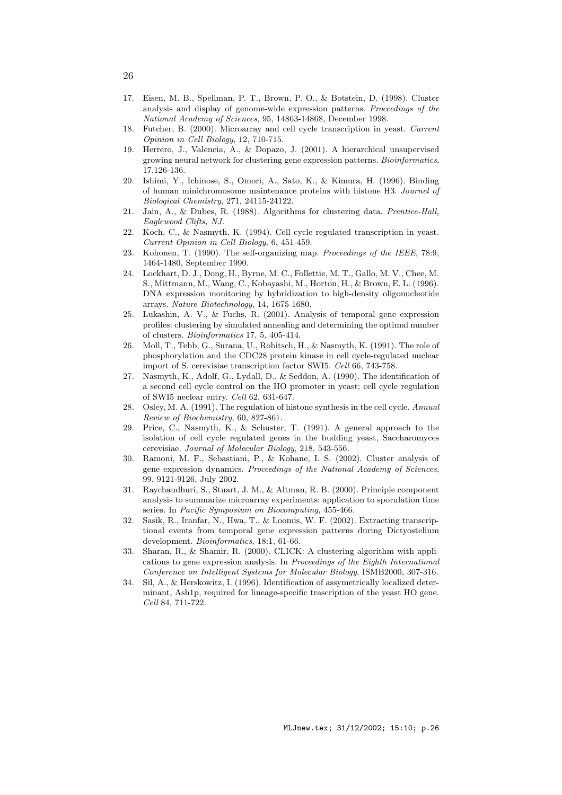- 17. Eisen, M. B., Spellman, P. T., Brown, P. O., & Botstein, D. (1998). Cluster analysis and display of genome-wide expression patterns. Proceedings of the National Academy of Sciences, 95, 14863-14868, December 1998.
- 18. Futcher, B. (2000). Microarray and cell cycle transcription in yeast. Current Opinion in Cell Biology, 12, 710-715.
- 19. Herrero, J., Valencia, A., & Dopazo, J. (2001). A hierarchical unsupervised growing neural network for clustering gene expression patterns. Bioinformatics, 17,126-136.
- 20. Ishimi, Y., Ichinose, S., Omori, A., Sato, K., & Kimura, H. (1996). Binding of human minichromosome maintenance proteins with histone H3. Journel of Biological Chemistry, 271, 24115-24122.
- 21. Jain, A., & Dubes, R. (1988). Algorithms for clustering data. Prentice-Hall, Eaglewood Clifts, NJ.
- 22. Koch, C., & Nasmyth, K. (1994). Cell cycle regulated transcription in yeast. Current Opinion in Cell Biology, 6, 451-459.
- 23. Kohonen, T. (1990). The self-organizing map. Proceedings of the IEEE, 78:9, 1464-1480, September 1990.
- 24. Lockhart, D. J., Dong, H., Byrne, M. C., Follettie, M. T., Gallo, M. V., Chee, M. S., Mittmann, M., Wang, C., Kobayashi, M., Horton, H., & Brown, E. L. (1996). DNA expression monitoring by hybridization to high-density oligonucleotide arrays. Nature Biotechnology, 14, 1675-1680.
- 25. Lukashin, A. V., & Fuchs, R. (2001). Analysis of temporal gene expression profiles: clustering by simulated annealing and determining the optimal number of clusters. Bioinformatics 17, 5, 405-414.
- 26. Moll, T., Tebb, G., Surana, U., Robitsch, H., & Nasmyth, K. (1991). The role of phosphorylation and the CDC28 protein kinase in cell cycle-regulated nuclear import of S. cerevisiae transcription factor SWI5. Cell 66, 743-758.
- 27. Nasmyth, K., Adolf, G., Lydall, D., & Seddon, A. (1990). The identification of a second cell cycle control on the HO promoter in yeast; cell cycle regulation of SWI5 neclear entry. Cell 62, 631-647.
- 28. Osley, M. A. (1991). The regulation of histone synthesis in the cell cycle. Annual Review of Biochemistry, 60, 827-861.
- 29. Price, C., Nasmyth, K., & Schuster, T. (1991). A general approach to the isolation of cell cycle regulated genes in the budding yeast, Saccharomyces cerevisiae. Journal of Molecular Biology, 218, 543-556.
- 30. Ramoni, M. F., Sebastiani, P., & Kohane, I. S. (2002). Cluster analysis of gene expression dynamics. Proceedings of the National Academy of Sciences, 99, 9121-9126, July 2002.
- 31. Raychaudhuri, S., Stuart, J. M., & Altman, R. B. (2000). Principle component analysis to summarize microarray experiments: application to sporulation time series. In Pacific Symposium on Biocomputing, 455-466.
- 32. Sasik, R., Iranfar, N., Hwa, T., & Loomis, W. F. (2002). Extracting transcriptional events from temporal gene expression patterns during Dictyostelium development. Bioinformatics, 18:1, 61-66.
- 33. Sharan, R., & Shamir, R. (2000). CLICK: A clustering algorithm with applications to gene expression analysis. In Proceedings of the Eighth International Conference on Intelligent Systems for Molecular Biology, ISMB2000, 307-316.
- 34. Sil, A., & Herskowitz, I. (1996). Identification of assymetrically localized determinant, Ash1p, required for lineage-specific trascription of the yeast HO gene. Cell 84, 711-722.

26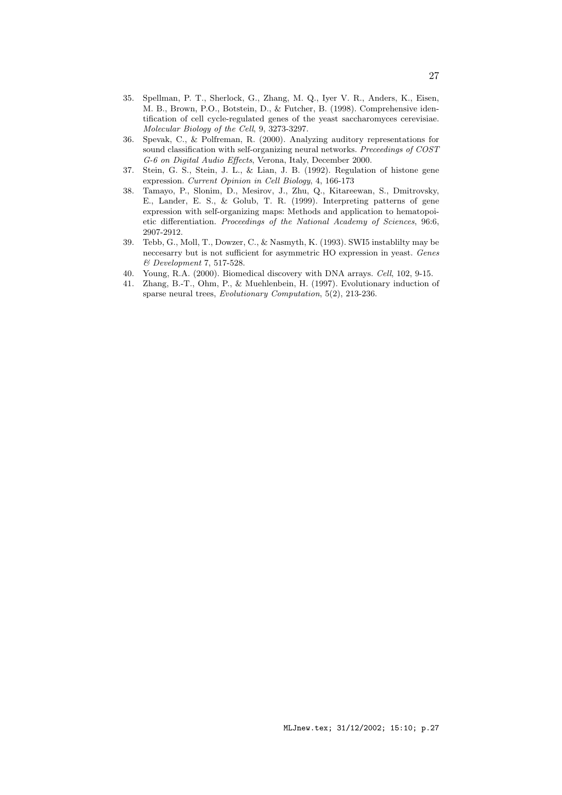- 35. Spellman, P. T., Sherlock, G., Zhang, M. Q., Iyer V. R., Anders, K., Eisen, M. B., Brown, P.O., Botstein, D., & Futcher, B. (1998). Comprehensive identification of cell cycle-regulated genes of the yeast saccharomyces cerevisiae. Molecular Biology of the Cell, 9, 3273-3297.
- 36. Spevak, C., & Polfreman, R. (2000). Analyzing auditory representations for sound classification with self-organizing neural networks. Preceedings of COST G-6 on Digital Audio Effects, Verona, Italy, December 2000.
- 37. Stein, G. S., Stein, J. L., & Lian, J. B. (1992). Regulation of histone gene expression. Current Opinion in Cell Biology, 4, 166-173
- 38. Tamayo, P., Slonim, D., Mesirov, J., Zhu, Q., Kitareewan, S., Dmitrovsky, E., Lander, E. S., & Golub, T. R. (1999). Interpreting patterns of gene expression with self-organizing maps: Methods and application to hematopoietic differentiation. Proceedings of the National Academy of Sciences, 96:6, 2907-2912.
- 39. Tebb, G., Moll, T., Dowzer, C., & Nasmyth, K. (1993). SWI5 instablilty may be neccesarry but is not sufficient for asymmetric HO expression in yeast. Genes & Development 7, 517-528.
- 40. Young, R.A. (2000). Biomedical discovery with DNA arrays. Cell, 102, 9-15.
- 41. Zhang, B.-T., Ohm, P., & Muehlenbein, H. (1997). Evolutionary induction of sparse neural trees, Evolutionary Computation, 5(2), 213-236.